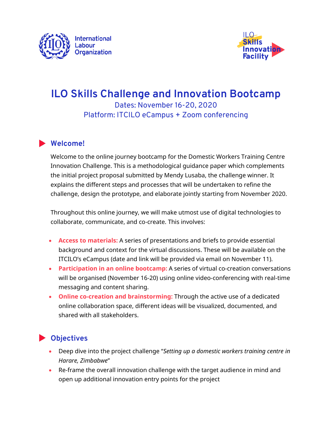



# **ILO Skills Challenge and Innovation Bootcamp** Dates: November 16-20, 2020 Platform: ITCILO eCampus + Zoom conferencing

#### **Welcome!**

Welcome to the online journey bootcamp for the Domestic Workers Training Centre Innovation Challenge. This is a methodological guidance paper which complements the initial project proposal submitted by Mendy Lusaba, the challenge winner. It explains the different steps and processes that will be undertaken to refine the challenge, design the prototype, and elaborate jointly starting from November 2020.

Throughout this online journey, we will make utmost use of digital technologies to collaborate, communicate, and co-create. This involves:

- **Access to materials:** A series of presentations and briefs to provide essential background and context for the virtual discussions. These will be available on the ITCILO's eCampus (date and link will be provided via email on November 11).
- **Participation in an online bootcamp:** A series of virtual co-creation conversations will be organised (November 16-20) using online video-conferencing with real-time messaging and content sharing.
- **Online co-creation and brainstorming:** Through the active use of a dedicated online collaboration space, different ideas will be visualized, documented, and shared with all stakeholders.

## **Objectives**

- Deep dive into the project challenge "*Setting up a domestic workers training centre in Harare, Zimbabwe*"
- Re-frame the overall innovation challenge with the target audience in mind and open up additional innovation entry points for the project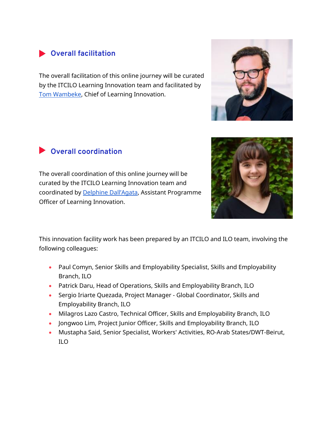### **Overall facilitation**

The overall facilitation of this online journey will be curated by the ITCILO Learning Innovation team and facilitated by [Tom Wambeke,](https://www.linkedin.com/in/tomwambeke/) Chief of Learning Innovation.

# **Overall coordination**

The overall coordination of this online journey will be curated by the ITCILO Learning Innovation team and coordinated by [Delphine Dall'Agata](https://www.linkedin.com/in/delphine-dall-agata-69018b123/), Assistant Programme Officer of Learning Innovation.

This innovation facility work has been prepared by an ITCILO and ILO team, involving the following colleagues:

- Paul Comyn, Senior Skills and Employability Specialist, Skills and Employability Branch, ILO
- Patrick Daru, Head of Operations, Skills and Employability Branch, ILO
- Sergio Iriarte Quezada, Project Manager Global Coordinator, Skills and Employability Branch, ILO
- Milagros Lazo Castro, Technical Officer, Skills and Employability Branch, ILO
- Jongwoo Lim, Project Junior Officer, Skills and Employability Branch, ILO
- Mustapha Said, Senior Specialist, Workers' Activities, RO-Arab States/DWT-Beirut, ILO